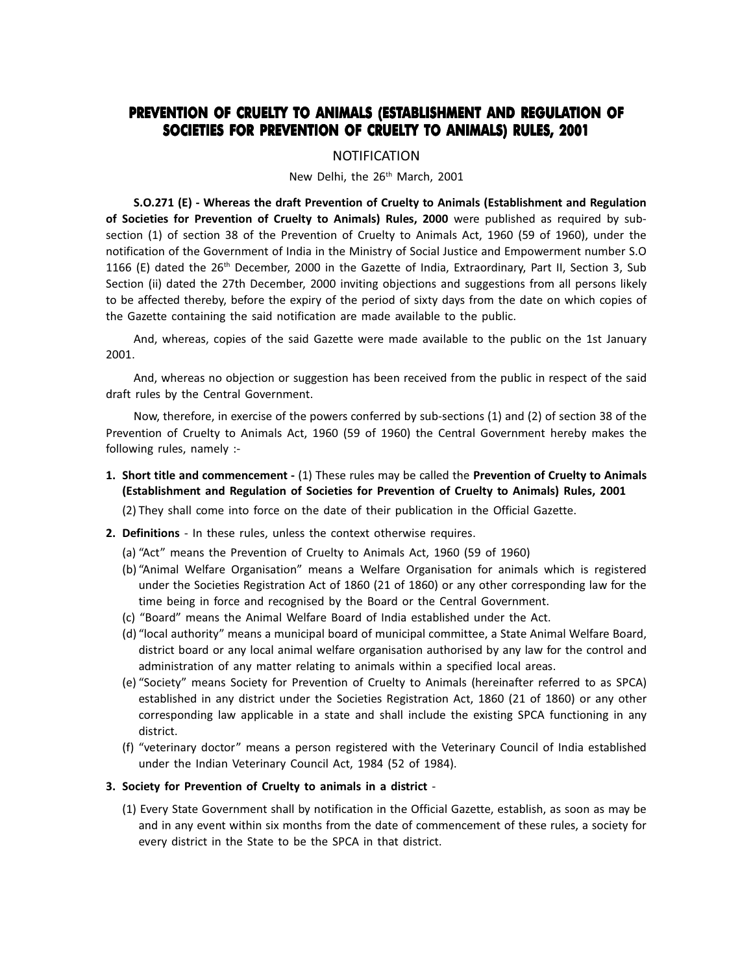## **PREVENTION OF CRUELTY TO ANIMALS (ESTABLISHMENT AND REGULATION OF SOCIETIES FOR PREVENTION OF CRUELTY TO ANIMALS) RULES, 2001**

## NOTIFICATION

New Delhi, the 26<sup>th</sup> March, 2001

**S.O.271 (E) - Whereas the draft Prevention of Cruelty to Animals (Establishment and Regulation of Societies for Prevention of Cruelty to Animals) Rules, 2000**  were published as required by subsection (1) of section 38 of the Prevention of Cruelty to Animals Act, 1960 (59 of 1960), under the notification of the Government of India in the Ministry of Social Justice and Empowerment number S.O 1166 (E) dated the  $26<sup>th</sup>$  December, 2000 in the Gazette of India, Extraordinary, Part II, Section 3, Sub Section (ii) dated the 27th December, 2000 inviting objections and suggestions from all persons likely to be affected thereby, before the expiry of the period of sixty days from the date on which copies of the Gazette containing the said notification are made available to the public.

And, whereas, copies of the said Gazette were made available to the public on the 1st January 2001.

And, whereas no objection or suggestion has been received from the public in respect of the said draft rules by the Central Government.

Now, therefore, in exercise of the powers conferred by sub-sections (1) and (2) of section 38 of the Prevention of Cruelty to Animals Act, 1960 (59 of 1960) the Central Government hereby makes the following rules, namely :-

**1. Short title and commencement -** (1) These rules may be called the **Prevention of Cruelty to Animals (Establishment and Regulation of Societies for Prevention of Cruelty to Animals) Rules, 2001**

(2) They shall come into force on the date of their publication in the Official Gazette.

- **2. Definitions** - In these rules, unless the context otherwise requires.
	- (a) "Act" means the Prevention of Cruelty to Animals Act, 1960 (59 of 1960)
	- (b) "Animal Welfare Organisation" means a Welfare Organisation for animals which is registered under the Societies Registration Act of 1860 (21 of 1860) or any other corresponding law for the time being in force and recognised by the Board or the Central Government.
	- (c) "Board" means the Animal Welfare Board of India established under the Act.
	- (d) "local authority" means a municipal board of municipal committee, a State Animal Welfare Board, district board or any local animal welfare organisation authorised by any law for the control and administration of any matter relating to animals within a specified local areas.
	- (e) "Society" means Society for Prevention of Cruelty to Animals (hereinafter referred to as SPCA) established in any district under the Societies Registration Act, 1860 (21 of 1860) or any other corresponding law applicable in a state and shall include the existing SPCA functioning in any district.
	- (f) veterinary doctor means a person registered with the Veterinary Council of India established under the Indian Veterinary Council Act, 1984 (52 of 1984).
- **3. Society for Prevention of Cruelty to animals in a district** 
	- (1) Every State Government shall by notification in the Official Gazette, establish, as soon as may be and in any event within six months from the date of commencement of these rules, a society for every district in the State to be the SPCA in that district.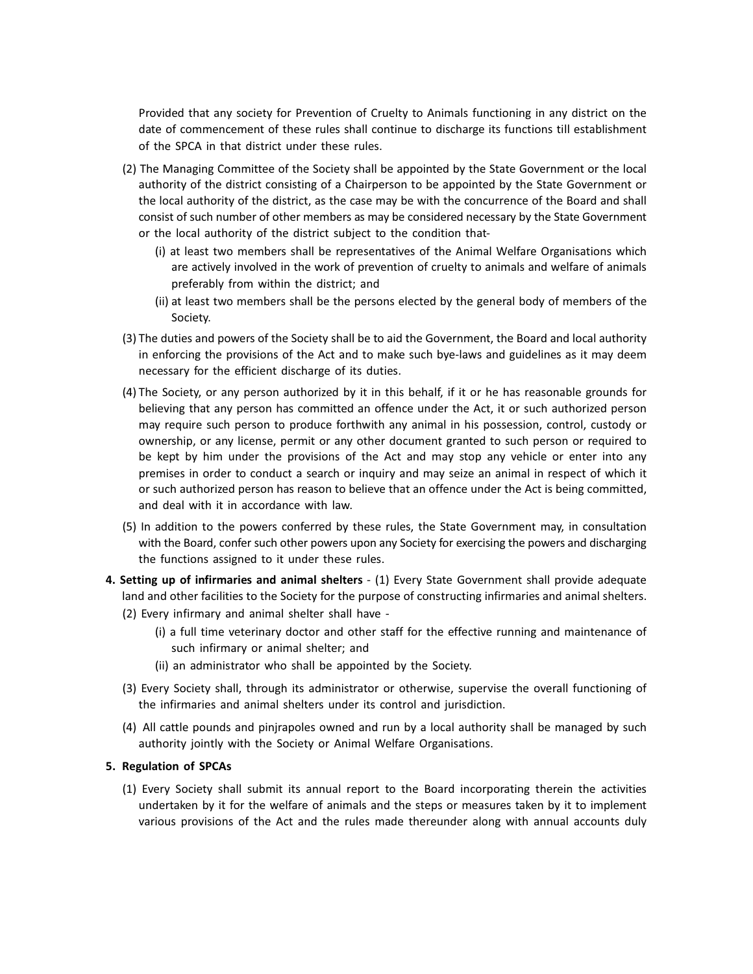Provided that any society for Prevention of Cruelty to Animals functioning in any district on the date of commencement of these rules shall continue to discharge its functions till establishment of the SPCA in that district under these rules.

- (2) The Managing Committee of the Society shall be appointed by the State Government or the local authority of the district consisting of a Chairperson to be appointed by the State Government or the local authority of the district, as the case may be with the concurrence of the Board and shall consist of such number of other members as may be considered necessary by the State Government or the local authority of the district subject to the condition that-
	- (i) at least two members shall be representatives of the Animal Welfare Organisations which are actively involved in the work of prevention of cruelty to animals and welfare of animals preferably from within the district; and
	- (ii) at least two members shall be the persons elected by the general body of members of the Society.
- (3) The duties and powers of the Society shall be to aid the Government, the Board and local authority in enforcing the provisions of the Act and to make such bye-laws and guidelines as it may deem necessary for the efficient discharge of its duties.
- (4) The Society, or any person authorized by it in this behalf, if it or he has reasonable grounds for believing that any person has committed an offence under the Act, it or such authorized person may require such person to produce forthwith any animal in his possession, control, custody or ownership, or any license, permit or any other document granted to such person or required to be kept by him under the provisions of the Act and may stop any vehicle or enter into any premises in order to conduct a search or inquiry and may seize an animal in respect of which it or such authorized person has reason to believe that an offence under the Act is being committed, and deal with it in accordance with law.
- (5) In addition to the powers conferred by these rules, the State Government may, in consultation with the Board, confer such other powers upon any Society for exercising the powers and discharging the functions assigned to it under these rules.
- **4. Setting up of infirmaries and animal shelters**  (1) Every State Government shall provide adequate land and other facilities to the Society for the purpose of constructing infirmaries and animal shelters.
	- (2) Every infirmary and animal shelter shall have
		- (i) a full time veterinary doctor and other staff for the effective running and maintenance of such infirmary or animal shelter; and
		- (ii) an administrator who shall be appointed by the Society.
	- (3) Every Society shall, through its administrator or otherwise, supervise the overall functioning of the infirmaries and animal shelters under its control and jurisdiction.
	- (4) All cattle pounds and pinjrapoles owned and run by a local authority shall be managed by such authority jointly with the Society or Animal Welfare Organisations.

## **5. Regulation of SPCAs**

(1) Every Society shall submit its annual report to the Board incorporating therein the activities undertaken by it for the welfare of animals and the steps or measures taken by it to implement various provisions of the Act and the rules made thereunder along with annual accounts duly